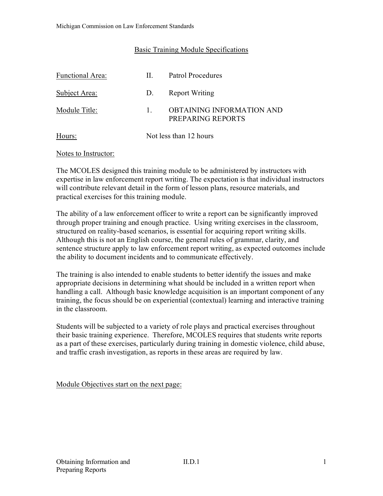#### Basic Training Module Specifications

| <b>Functional Area:</b> | Н.                     | Patrol Procedures                              |
|-------------------------|------------------------|------------------------------------------------|
| Subject Area:           | D.                     | <b>Report Writing</b>                          |
| Module Title:           |                        | OBTAINING INFORMATION AND<br>PREPARING REPORTS |
| Hours:                  | Not less than 12 hours |                                                |

#### Notes to Instructor:

The MCOLES designed this training module to be administered by instructors with expertise in law enforcement report writing. The expectation is that individual instructors will contribute relevant detail in the form of lesson plans, resource materials, and practical exercises for this training module.

The ability of a law enforcement officer to write a report can be significantly improved through proper training and enough practice. Using writing exercises in the classroom, structured on reality-based scenarios, is essential for acquiring report writing skills. Although this is not an English course, the general rules of grammar, clarity, and sentence structure apply to law enforcement report writing, as expected outcomes include the ability to document incidents and to communicate effectively.

The training is also intended to enable students to better identify the issues and make appropriate decisions in determining what should be included in a written report when handling a call. Although basic knowledge acquisition is an important component of any training, the focus should be on experiential (contextual) learning and interactive training in the classroom.

Students will be subjected to a variety of role plays and practical exercises throughout their basic training experience. Therefore, MCOLES requires that students write reports as a part of these exercises, particularly during training in domestic violence, child abuse, and traffic crash investigation, as reports in these areas are required by law.

Module Objectives start on the next page: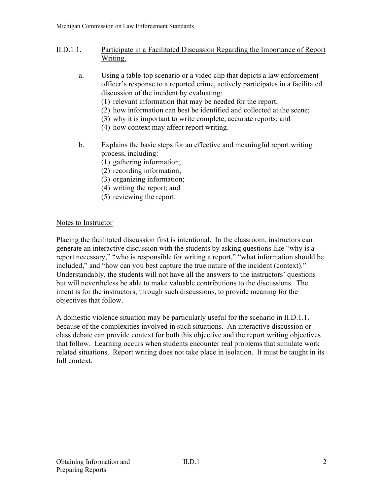- II.D.1.1. Participate in a Facilitated Discussion Regarding the Importance of Report Writing.
	- a. Using a table-top scenario or a video clip that depicts a law enforcement officer's response to a reported crime, actively participates in a facilitated discussion of the incident by evaluating:
		- (1) relevant information that may be needed for the report;
		- (2) how information can best be identified and collected at the scene;
		- (3) why it is important to write complete, accurate reports; and
		- (4) how context may affect report writing.
	- b. Explains the basic steps for an effective and meaningful report writing process, including:
		- (1) gathering information;
		- (2) recording information;
		- (3) organizing information;
		- (4) writing the report; and
		- (5) reviewing the report.

### Notes to Instructor

Placing the facilitated discussion first is intentional. In the classroom, instructors can generate an interactive discussion with the students by asking questions like "why is a report necessary," "who is responsible for writing a report," "what information should be included," and "how can you best capture the true nature of the incident (context)." Understandably, the students will not have all the answers to the instructors' questions but will nevertheless be able to make valuable contributions to the discussions. The intent is for the instructors, through such discussions, to provide meaning for the objectives that follow.

A domestic violence situation may be particularly useful for the scenario in II.D.1.1. because of the complexities involved in such situations. An interactive discussion or class debate can provide context for both this objective and the report writing objectives that follow. Learning occurs when students encounter real problems that simulate work related situations. Report writing does not take place in isolation. It must be taught in its full context.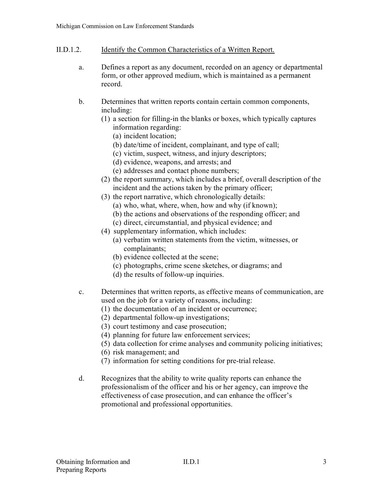### II.D.1.2. Identify the Common Characteristics of a Written Report.

- a. Defines a report as any document, recorded on an agency or departmental form, or other approved medium, which is maintained as a permanent record.
- b. Determines that written reports contain certain common components, including:
	- (1) a section for filling-in the blanks or boxes, which typically captures information regarding:
		- (a) incident location;
		- (b) date/time of incident, complainant, and type of call;
		- (c) victim, suspect, witness, and injury descriptors;
		- (d) evidence, weapons, and arrests; and
		- (e) addresses and contact phone numbers;
	- (2) the report summary, which includes a brief, overall description of the incident and the actions taken by the primary officer;
	- (3) the report narrative, which chronologically details:
		- (a) who, what, where, when, how and why (if known);
		- (b) the actions and observations of the responding officer; and
		- (c) direct, circumstantial, and physical evidence; and
	- (4) supplementary information, which includes:
		- (a) verbatim written statements from the victim, witnesses, or complainants;
		- (b) evidence collected at the scene;
		- (c) photographs, crime scene sketches, or diagrams; and
		- (d) the results of follow-up inquiries.
- c. Determines that written reports, as effective means of communication, are used on the job for a variety of reasons, including:
	- (1) the documentation of an incident or occurrence;
	- (2) departmental follow-up investigations;
	- (3) court testimony and case prosecution;
	- (4) planning for future law enforcement services;
	- (5) data collection for crime analyses and community policing initiatives;
	- (6) risk management; and
	- (7) information for setting conditions for pre-trial release.
- d. Recognizes that the ability to write quality reports can enhance the professionalism of the officer and his or her agency, can improve the effectiveness of case prosecution, and can enhance the officer's promotional and professional opportunities.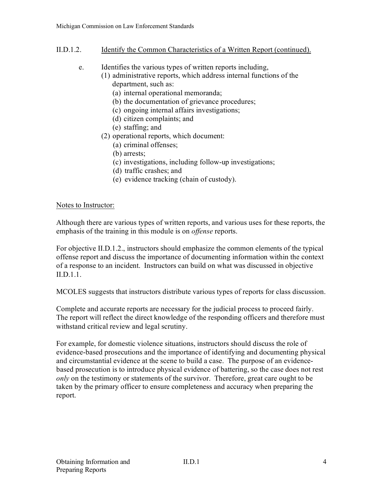### II.D.1.2. Identify the Common Characteristics of a Written Report (continued).

- e. Identifies the various types of written reports including,
	- (1) administrative reports, which address internal functions of the department, such as:
		- (a) internal operational memoranda;
		- (b) the documentation of grievance procedures;
		- (c) ongoing internal affairs investigations;
		- (d) citizen complaints; and
		- (e) staffing; and
	- (2) operational reports, which document:
		- (a) criminal offenses;
		- (b) arrests;
		- (c) investigations, including follow-up investigations;
		- (d) traffic crashes; and
		- (e) evidence tracking (chain of custody).

### Notes to Instructor:

Although there are various types of written reports, and various uses for these reports, the emphasis of the training in this module is on *offense* reports.

For objective II.D.1.2., instructors should emphasize the common elements of the typical offense report and discuss the importance of documenting information within the context of a response to an incident. Instructors can build on what was discussed in objective II.D.1.1.

MCOLES suggests that instructors distribute various types of reports for class discussion.

Complete and accurate reports are necessary for the judicial process to proceed fairly. The report will reflect the direct knowledge of the responding officers and therefore must withstand critical review and legal scrutiny.

For example, for domestic violence situations, instructors should discuss the role of evidence-based prosecutions and the importance of identifying and documenting physical and circumstantial evidence at the scene to build a case. The purpose of an evidencebased prosecution is to introduce physical evidence of battering, so the case does not rest *only* on the testimony or statements of the survivor. Therefore, great care ought to be taken by the primary officer to ensure completeness and accuracy when preparing the report.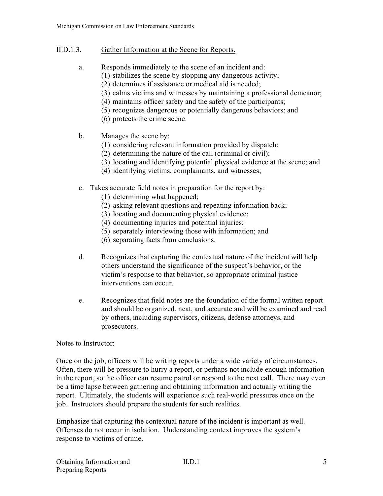#### II.D.1.3. Gather Information at the Scene for Reports.

- a. Responds immediately to the scene of an incident and:
	- (1) stabilizes the scene by stopping any dangerous activity;
	- (2) determines if assistance or medical aid is needed;
	- (3) calms victims and witnesses by maintaining a professional demeanor;
	- (4) maintains officer safety and the safety of the participants;
	- (5) recognizes dangerous or potentially dangerous behaviors; and
	- (6) protects the crime scene.
- b. Manages the scene by:
	- (1) considering relevant information provided by dispatch;
	- (2) determining the nature of the call (criminal or civil);
	- (3) locating and identifying potential physical evidence at the scene; and
	- (4) identifying victims, complainants, and witnesses;
- c. Takes accurate field notes in preparation for the report by:
	- (1) determining what happened;
	- (2) asking relevant questions and repeating information back;
	- (3) locating and documenting physical evidence;
	- (4) documenting injuries and potential injuries;
	- (5) separately interviewing those with information; and
	- (6) separating facts from conclusions.
- d. Recognizes that capturing the contextual nature of the incident will help others understand the significance of the suspect's behavior, or the victim's response to that behavior, so appropriate criminal justice interventions can occur.
- e. Recognizes that field notes are the foundation of the formal written report and should be organized, neat, and accurate and will be examined and read by others, including supervisors, citizens, defense attorneys, and prosecutors.

### Notes to Instructor:

Once on the job, officers will be writing reports under a wide variety of circumstances. Often, there will be pressure to hurry a report, or perhaps not include enough information in the report, so the officer can resume patrol or respond to the next call. There may even be a time lapse between gathering and obtaining information and actually writing the report. Ultimately, the students will experience such real-world pressures once on the job. Instructors should prepare the students for such realities.

Emphasize that capturing the contextual nature of the incident is important as well. Offenses do not occur in isolation. Understanding context improves the system's response to victims of crime.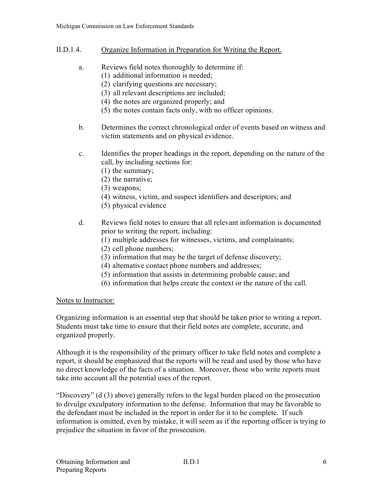- II.D.1.4. Organize Information in Preparation for Writing the Report.
	- a. Reviews field notes thoroughly to determine if:
		- (1) additional information is needed;
		- (2) clarifying questions are necessary;
		- (3) all relevant descriptions are included;
		- (4) the notes are organized properly; and
		- (5) the notes contain facts only, with no officer opinions.
	- b. Determines the correct chronological order of events based on witness and victim statements and on physical evidence.
	- c. Identifies the proper headings in the report, depending on the nature of the call, by including sections for:
		- (1) the summary;
		- (2) the narrative;
		- (3) weapons;
		- (4) witness, victim, and suspect identifiers and descriptors; and
		- (5) physical evidence
	- d. Reviews field notes to ensure that all relevant information is documented prior to writing the report, including:
		- (1) multiple addresses for witnesses, victims, and complainants;
		- (2) cell phone numbers;
		- (3) information that may be the target of defense discovery;
		- (4) alternative contact phone numbers and addresses;
		- (5) information that assists in determining probable cause; and
		- (6) information that helps create the context or the nature of the call.

# Notes to Instructor:

Organizing information is an essential step that should be taken prior to writing a report. Students must take time to ensure that their field notes are complete, accurate, and organized properly.

Although it is the responsibility of the primary officer to take field notes and complete a report, it should be emphasized that the reports will be read and used by those who have no direct knowledge of the facts of a situation. Moreover, those who write reports must take into account all the potential uses of the report.

"Discovery" (d (3) above) generally refers to the legal burden placed on the prosecution to divulge exculpatory information to the defense. Information that may be favorable to the defendant must be included in the report in order for it to be complete. If such information is omitted, even by mistake, it will seem as if the reporting officer is trying to prejudice the situation in favor of the prosecution.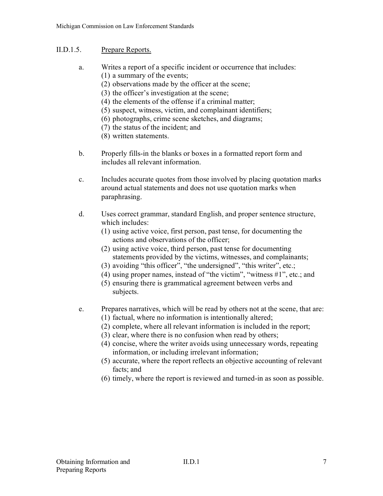### II.D.1.5. Prepare Reports.

- a. Writes a report of a specific incident or occurrence that includes: (1) a summary of the events;
	- (2) observations made by the officer at the scene;
	- (3) the officer's investigation at the scene;
	- (4) the elements of the offense if a criminal matter;
	- (5) suspect, witness, victim, and complainant identifiers;
	- (6) photographs, crime scene sketches, and diagrams;
	- (7) the status of the incident; and
	- (8) written statements.
- b. Properly fills-in the blanks or boxes in a formatted report form and includes all relevant information.
- c. Includes accurate quotes from those involved by placing quotation marks around actual statements and does not use quotation marks when paraphrasing.
- d. Uses correct grammar, standard English, and proper sentence structure, which includes:
	- (1) using active voice, first person, past tense, for documenting the actions and observations of the officer;
	- (2) using active voice, third person, past tense for documenting statements provided by the victims, witnesses, and complainants;
	- (3) avoiding "this officer", "the undersigned", "this writer", etc.;
	- (4) using proper names, instead of "the victim", "witness #1", etc.; and
	- (5) ensuring there is grammatical agreement between verbs and subjects.
- e. Prepares narratives, which will be read by others not at the scene, that are:
	- (1) factual, where no information is intentionally altered;
	- (2) complete, where all relevant information is included in the report;
	- (3) clear, where there is no confusion when read by others;
	- (4) concise, where the writer avoids using unnecessary words, repeating information, or including irrelevant information;
	- (5) accurate, where the report reflects an objective accounting of relevant facts; and
	- (6) timely, where the report is reviewed and turned-in as soon as possible.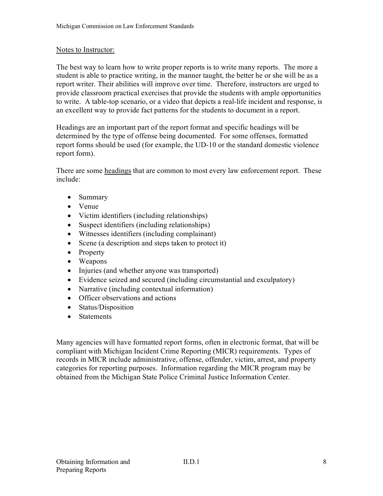#### Notes to Instructor:

The best way to learn how to write proper reports is to write many reports. The more a student is able to practice writing, in the manner taught, the better he or she will be as a report writer. Their abilities will improve over time. Therefore, instructors are urged to provide classroom practical exercises that provide the students with ample opportunities to write. A table-top scenario, or a video that depicts a real-life incident and response, is an excellent way to provide fact patterns for the students to document in a report.

Headings are an important part of the report format and specific headings will be determined by the type of offense being documented. For some offenses, formatted report forms should be used (for example, the UD-10 or the standard domestic violence report form).

There are some headings that are common to most every law enforcement report. These include:

- Summary
- Venue
- Victim identifiers (including relationships)
- Suspect identifiers (including relationships)
- Witnesses identifiers (including complainant)
- Scene (a description and steps taken to protect it)
- Property
- Weapons
- Injuries (and whether anyone was transported)
- Evidence seized and secured (including circumstantial and exculpatory)
- Narrative (including contextual information)
- Officer observations and actions
- Status/Disposition
- Statements

Many agencies will have formatted report forms, often in electronic format, that will be compliant with Michigan Incident Crime Reporting (MICR) requirements. Types of records in MICR include administrative, offense, offender, victim, arrest, and property categories for reporting purposes. Information regarding the MICR program may be obtained from the Michigan State Police Criminal Justice Information Center.